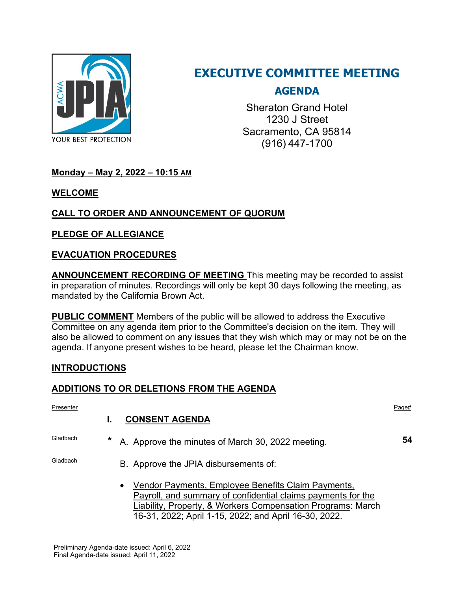

# **EXECUTIVE COMMITTEE MEETING**

# **AGENDA**

Sheraton Grand Hotel 1230 J Street Sacramento, CA 95814 (916) 447-1700

# **Monday – May 2, 2022 – 10:15 AM**

#### **WELCOME**

# **CALL TO ORDER AND ANNOUNCEMENT OF QUORUM**

## **PLEDGE OF ALLEGIANCE**

#### **EVACUATION PROCEDURES**

**ANNOUNCEMENT RECORDING OF MEETING** This meeting may be recorded to assist in preparation of minutes. Recordings will only be kept 30 days following the meeting, as mandated by the California Brown Act.

**PUBLIC COMMENT** Members of the public will be allowed to address the Executive Committee on any agenda item prior to the Committee's decision on the item. They will also be allowed to comment on any issues that they wish which may or may not be on the agenda. If anyone present wishes to be heard, please let the Chairman know.

## **INTRODUCTIONS**

#### **ADDITIONS TO OR DELETIONS FROM THE AGENDA**

| Presenter |         |                                                                                                                                                                                                | Page# |
|-----------|---------|------------------------------------------------------------------------------------------------------------------------------------------------------------------------------------------------|-------|
|           |         | <b>CONSENT AGENDA</b>                                                                                                                                                                          |       |
| Gladbach  | $\star$ | A. Approve the minutes of March 30, 2022 meeting.                                                                                                                                              | 54    |
| Gladbach  |         | B. Approve the JPIA disbursements of:                                                                                                                                                          |       |
|           |         | Vendor Payments, Employee Benefits Claim Payments,<br>$\bullet$<br>Payroll, and summary of confidential claims payments for the<br>Liability, Property, & Workers Compensation Programs: March |       |

16-31, 2022; April 1-15, 2022; and April 16-30, 2022.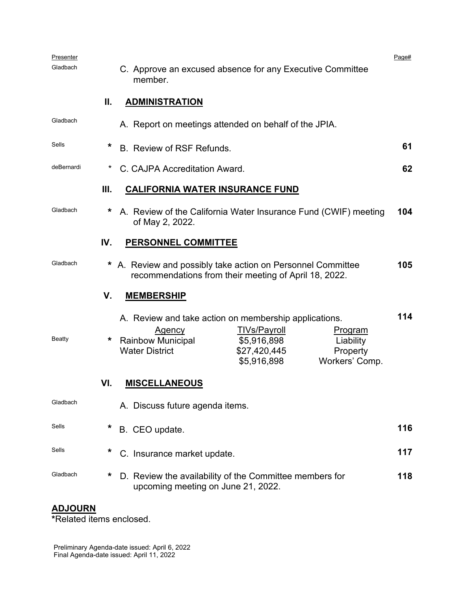| Presenter  |     |                                                                                                                                                                                                                                                               | Page# |
|------------|-----|---------------------------------------------------------------------------------------------------------------------------------------------------------------------------------------------------------------------------------------------------------------|-------|
| Gladbach   |     | C. Approve an excused absence for any Executive Committee<br>member.                                                                                                                                                                                          |       |
|            | Ш.  | <b>ADMINISTRATION</b>                                                                                                                                                                                                                                         |       |
| Gladbach   |     | A. Report on meetings attended on behalf of the JPIA.                                                                                                                                                                                                         |       |
| Sells      | *   | B. Review of RSF Refunds.                                                                                                                                                                                                                                     | 61    |
| deBernardi | *   | C. CAJPA Accreditation Award.                                                                                                                                                                                                                                 | 62    |
|            | Ш.  | <b>CALIFORNIA WATER INSURANCE FUND</b>                                                                                                                                                                                                                        |       |
| Gladbach   | *   | A. Review of the California Water Insurance Fund (CWIF) meeting<br>of May 2, 2022.                                                                                                                                                                            | 104   |
|            | IV. | <b>PERSONNEL COMMITTEE</b>                                                                                                                                                                                                                                    |       |
| Gladbach   | *   | A. Review and possibly take action on Personnel Committee<br>recommendations from their meeting of April 18, 2022.                                                                                                                                            | 105   |
|            | V.  | <b>MEMBERSHIP</b>                                                                                                                                                                                                                                             |       |
| Beatty     | *   | A. Review and take action on membership applications.<br><b>TIVs/Payroll</b><br><u>Agency</u><br><u>Program</u><br><b>Rainbow Municipal</b><br>\$5,916,898<br>Liability<br><b>Water District</b><br>\$27,420,445<br>Property<br>\$5,916,898<br>Workers' Comp. | 114   |
|            | VI. | <b>MISCELLANEOUS</b>                                                                                                                                                                                                                                          |       |
| Gladbach   |     | A. Discuss future agenda items.                                                                                                                                                                                                                               |       |
| Sells      | *   | B. CEO update.                                                                                                                                                                                                                                                | 116   |
| Sells      | *   | C. Insurance market update.                                                                                                                                                                                                                                   | 117   |
| Gladbach   | *   | D. Review the availability of the Committee members for<br>upcoming meeting on June 21, 2022.                                                                                                                                                                 | 118   |

#### **ADJOURN**

**\***Related items enclosed.